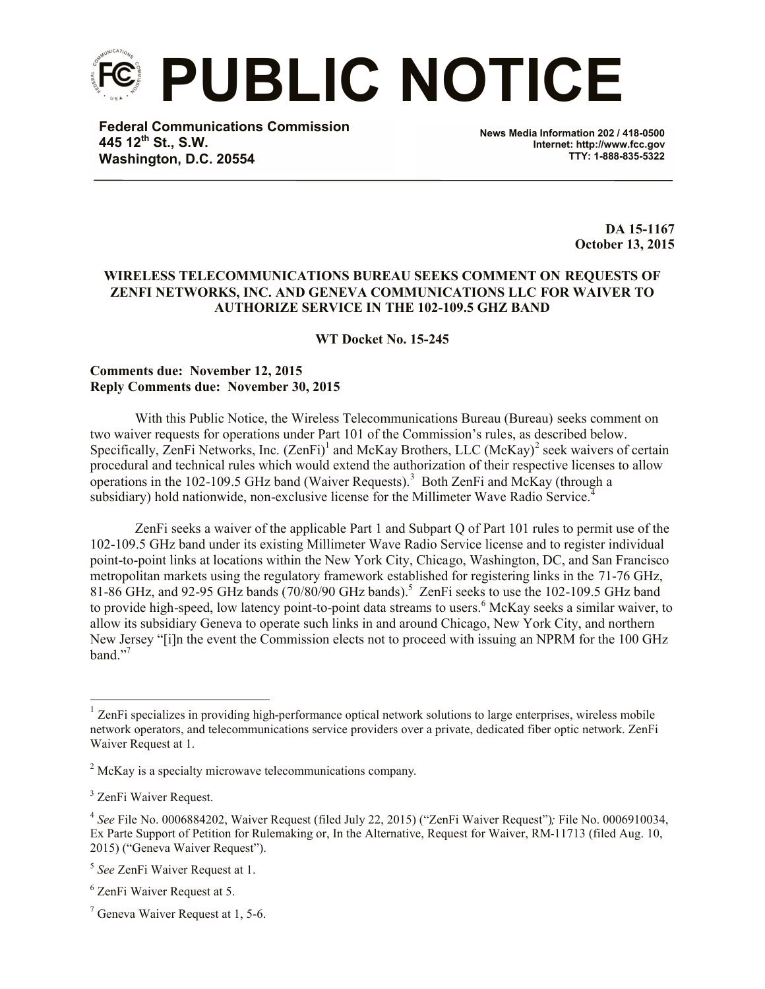

**Federal Communications Commission 445 12th St., S.W. Washington, D.C. 20554**

**News Media Information 202 / 418-0500 Internet: http://www.fcc.gov TTY: 1-888-835-5322**

> **DA 15-1167 October 13, 2015**

## **WIRELESS TELECOMMUNICATIONS BUREAU SEEKS COMMENT ON REQUESTS OF ZENFI NETWORKS, INC. AND GENEVA COMMUNICATIONS LLC FOR WAIVER TO AUTHORIZE SERVICE IN THE 102-109.5 GHZ BAND**

**WT Docket No. 15-245**

### **Comments due: November 12, 2015 Reply Comments due: November 30, 2015**

With this Public Notice, the Wireless Telecommunications Bureau (Bureau) seeks comment on two waiver requests for operations under Part 101 of the Commission's rules, as described below. Specifically, ZenFi Networks, Inc.  $(ZenFi)^1$  and McKay Brothers, LLC  $(McKay)^2$  seek waivers of certain procedural and technical rules which would extend the authorization of their respective licenses to allow operations in the 102-109.5 GHz band (Waiver Requests).<sup>3</sup> Both ZenFi and McKay (through a subsidiary) hold nationwide, non-exclusive license for the Millimeter Wave Radio Service.<sup>4</sup>

ZenFi seeks a waiver of the applicable Part 1 and Subpart Q of Part 101 rules to permit use of the 102-109.5 GHz band under its existing Millimeter Wave Radio Service license and to register individual point-to-point links at locations within the New York City, Chicago, Washington, DC, and San Francisco metropolitan markets using the regulatory framework established for registering links in the 71-76 GHz, 81-86 GHz, and 92-95 GHz bands (70/80/90 GHz bands). 5 ZenFi seeks to use the 102-109.5 GHz band to provide high-speed, low latency point-to-point data streams to users.<sup>6</sup> McKay seeks a similar waiver, to allow its subsidiary Geneva to operate such links in and around Chicago, New York City, and northern New Jersey "[i]n the event the Commission elects not to proceed with issuing an NPRM for the 100 GHz band."<sup>7</sup>

l

 $1$  ZenFi specializes in providing high-performance optical network solutions to large enterprises, wireless mobile network operators, and telecommunications service providers over a private, dedicated fiber optic network. ZenFi Waiver Request at 1.

<sup>2</sup> McKay is a specialty microwave telecommunications company.

<sup>&</sup>lt;sup>3</sup> ZenFi Waiver Request.

<sup>4</sup> *See* File No. 0006884202, Waiver Request (filed July 22, 2015) ("ZenFi Waiver Request")*;* File No. 0006910034, Ex Parte Support of Petition for Rulemaking or, In the Alternative, Request for Waiver, RM-11713 (filed Aug. 10, 2015) ("Geneva Waiver Request").

<sup>5</sup> *See* ZenFi Waiver Request at 1.

<sup>6</sup> ZenFi Waiver Request at 5.

<sup>7</sup> Geneva Waiver Request at 1, 5-6.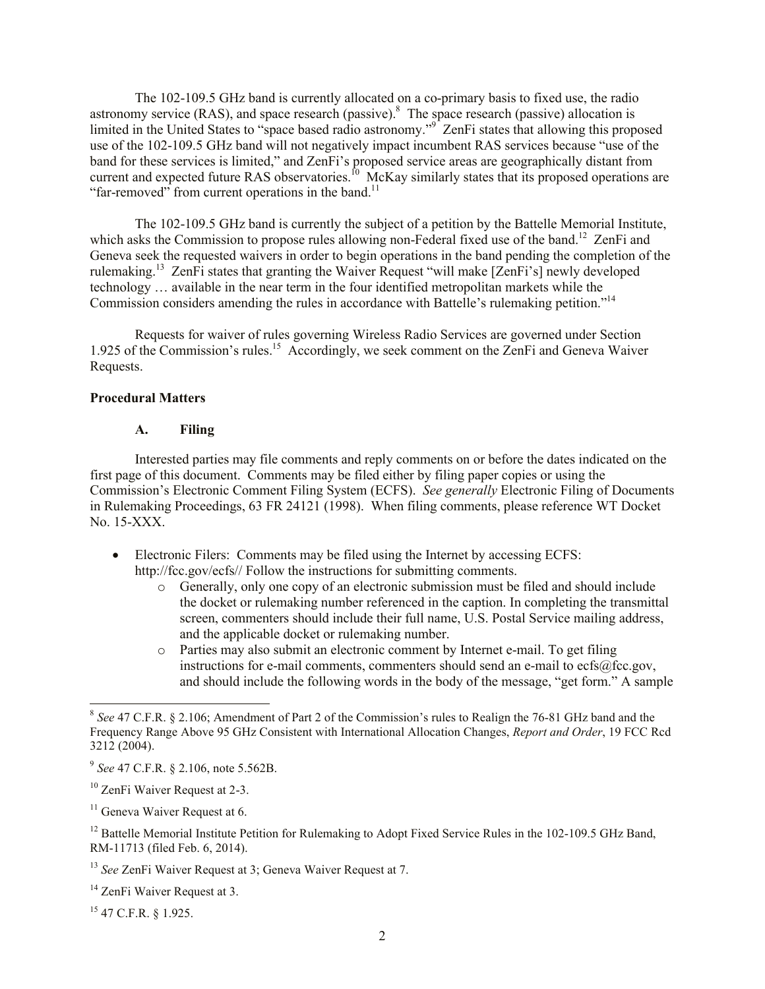The 102-109.5 GHz band is currently allocated on a co-primary basis to fixed use, the radio astronomy service (RAS), and space research (passive).<sup>8</sup> The space research (passive) allocation is limited in the United States to "space based radio astronomy."<sup>9</sup> ZenFi states that allowing this proposed use of the 102-109.5 GHz band will not negatively impact incumbent RAS services because "use of the band for these services is limited," and ZenFi's proposed service areas are geographically distant from current and expected future RAS observatories.<sup>10</sup> McKay similarly states that its proposed operations are "far-removed" from current operations in the band. $11$ 

The 102-109.5 GHz band is currently the subject of a petition by the Battelle Memorial Institute, which asks the Commission to propose rules allowing non-Federal fixed use of the band.<sup>12</sup> ZenFi and Geneva seek the requested waivers in order to begin operations in the band pending the completion of the rulemaking.<sup>13</sup> ZenFi states that granting the Waiver Request "will make [ZenFi's] newly developed technology … available in the near term in the four identified metropolitan markets while the Commission considers amending the rules in accordance with Battelle's rulemaking petition."<sup>14</sup>

Requests for waiver of rules governing Wireless Radio Services are governed under Section 1.925 of the Commission's rules.<sup>15</sup> Accordingly, we seek comment on the ZenFi and Geneva Waiver Requests.

## **Procedural Matters**

#### **A. Filing**

Interested parties may file comments and reply comments on or before the dates indicated on the first page of this document. Comments may be filed either by filing paper copies or using the Commission's Electronic Comment Filing System (ECFS). *See generally* Electronic Filing of Documents in Rulemaking Proceedings, 63 FR 24121 (1998). When filing comments, please reference WT Docket No. 15-XXX.

- Electronic Filers: Comments may be filed using the Internet by accessing ECFS: http://fcc.gov/ecfs// Follow the instructions for submitting comments.
	- o Generally, only one copy of an electronic submission must be filed and should include the docket or rulemaking number referenced in the caption. In completing the transmittal screen, commenters should include their full name, U.S. Postal Service mailing address, and the applicable docket or rulemaking number.
	- o Parties may also submit an electronic comment by Internet e-mail. To get filing instructions for e-mail comments, commenters should send an e-mail to ecfs@fcc.gov, and should include the following words in the body of the message, "get form." A sample

<sup>&</sup>lt;sup>8</sup> See 47 C.F.R. § 2.106; Amendment of Part 2 of the Commission's rules to Realign the 76-81 GHz band and the Frequency Range Above 95 GHz Consistent with International Allocation Changes, *Report and Order*, 19 FCC Rcd 3212 (2004).

<sup>9</sup> *See* 47 C.F.R. § 2.106, note 5.562B.

<sup>10</sup> ZenFi Waiver Request at 2-3.

 $11$  Geneva Waiver Request at 6.

<sup>&</sup>lt;sup>12</sup> Battelle Memorial Institute Petition for Rulemaking to Adopt Fixed Service Rules in the 102-109.5 GHz Band, RM-11713 (filed Feb. 6, 2014).

<sup>13</sup> *See* ZenFi Waiver Request at 3; Geneva Waiver Request at 7.

<sup>&</sup>lt;sup>14</sup> ZenFi Waiver Request at 3.

<sup>15</sup> 47 C.F.R. § 1.925.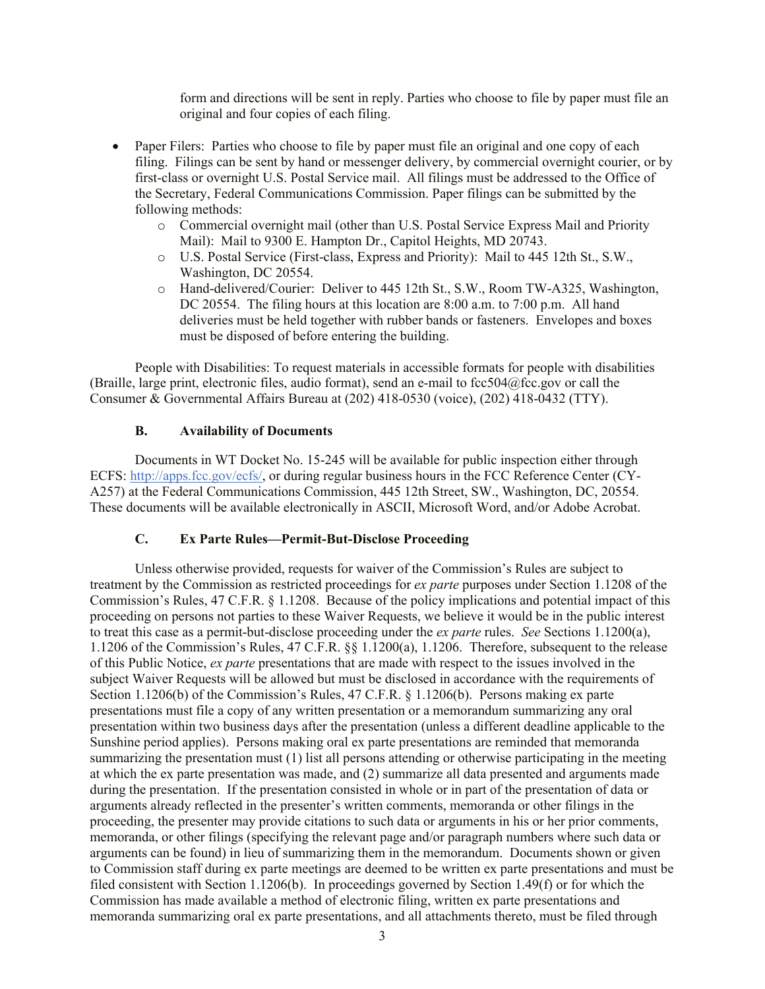form and directions will be sent in reply. Parties who choose to file by paper must file an original and four copies of each filing.

- Paper Filers: Parties who choose to file by paper must file an original and one copy of each filing. Filings can be sent by hand or messenger delivery, by commercial overnight courier, or by first-class or overnight U.S. Postal Service mail. All filings must be addressed to the Office of the Secretary, Federal Communications Commission. Paper filings can be submitted by the following methods:
	- o Commercial overnight mail (other than U.S. Postal Service Express Mail and Priority Mail): Mail to 9300 E. Hampton Dr., Capitol Heights, MD 20743.
	- o U.S. Postal Service (First-class, Express and Priority): Mail to 445 12th St., S.W., Washington, DC 20554.
	- o Hand-delivered/Courier: Deliver to 445 12th St., S.W., Room TW-A325, Washington, DC 20554. The filing hours at this location are 8:00 a.m. to 7:00 p.m. All hand deliveries must be held together with rubber bands or fasteners. Envelopes and boxes must be disposed of before entering the building.

People with Disabilities: To request materials in accessible formats for people with disabilities (Braille, large print, electronic files, audio format), send an e-mail to fcc504@fcc.gov or call the Consumer & Governmental Affairs Bureau at (202) 418-0530 (voice), (202) 418-0432 (TTY).

# **B. Availability of Documents**

Documents in WT Docket No. 15-245 will be available for public inspection either through ECFS: http://apps.fcc.gov/ecfs/, or during regular business hours in the FCC Reference Center (CY-A257) at the Federal Communications Commission, 445 12th Street, SW., Washington, DC, 20554. These documents will be available electronically in ASCII, Microsoft Word, and/or Adobe Acrobat.

## **C. Ex Parte Rules—Permit-But-Disclose Proceeding**

Unless otherwise provided, requests for waiver of the Commission's Rules are subject to treatment by the Commission as restricted proceedings for *ex parte* purposes under Section 1.1208 of the Commission's Rules, 47 C.F.R. § 1.1208. Because of the policy implications and potential impact of this proceeding on persons not parties to these Waiver Requests, we believe it would be in the public interest to treat this case as a permit-but-disclose proceeding under the *ex parte* rules. *See* Sections 1.1200(a), 1.1206 of the Commission's Rules, 47 C.F.R. §§ 1.1200(a), 1.1206. Therefore, subsequent to the release of this Public Notice, *ex parte* presentations that are made with respect to the issues involved in the subject Waiver Requests will be allowed but must be disclosed in accordance with the requirements of Section 1.1206(b) of the Commission's Rules, 47 C.F.R. § 1.1206(b). Persons making ex parte presentations must file a copy of any written presentation or a memorandum summarizing any oral presentation within two business days after the presentation (unless a different deadline applicable to the Sunshine period applies). Persons making oral ex parte presentations are reminded that memoranda summarizing the presentation must (1) list all persons attending or otherwise participating in the meeting at which the ex parte presentation was made, and (2) summarize all data presented and arguments made during the presentation. If the presentation consisted in whole or in part of the presentation of data or arguments already reflected in the presenter's written comments, memoranda or other filings in the proceeding, the presenter may provide citations to such data or arguments in his or her prior comments, memoranda, or other filings (specifying the relevant page and/or paragraph numbers where such data or arguments can be found) in lieu of summarizing them in the memorandum. Documents shown or given to Commission staff during ex parte meetings are deemed to be written ex parte presentations and must be filed consistent with Section 1.1206(b). In proceedings governed by Section 1.49(f) or for which the Commission has made available a method of electronic filing, written ex parte presentations and memoranda summarizing oral ex parte presentations, and all attachments thereto, must be filed through